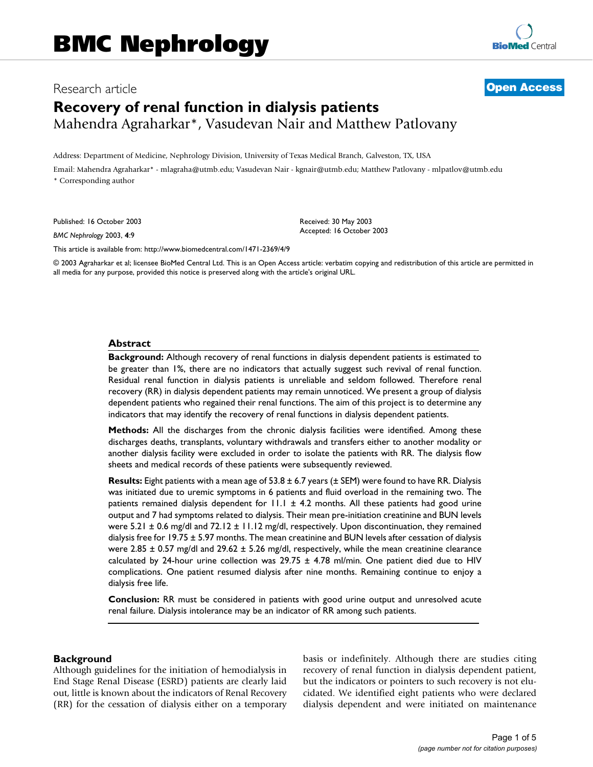# Research article **[Open Access](http://www.biomedcentral.com/info/about/charter/)**

# **Recovery of renal function in dialysis patients** Mahendra Agraharkar\*, Vasudevan Nair and Matthew Patlovany

Address: Department of Medicine, Nephrology Division, University of Texas Medical Branch, Galveston, TX, USA Email: Mahendra Agraharkar\* - mlagraha@utmb.edu; Vasudevan Nair - kgnair@utmb.edu; Matthew Patlovany - mlpatlov@utmb.edu \* Corresponding author

Published: 16 October 2003

*BMC Nephrology* 2003, **4**:9

[This article is available from: http://www.biomedcentral.com/1471-2369/4/9](http://www.biomedcentral.com/1471-2369/4/9)

© 2003 Agraharkar et al; licensee BioMed Central Ltd. This is an Open Access article: verbatim copying and redistribution of this article are permitted in all media for any purpose, provided this notice is preserved along with the article's original URL.

Received: 30 May 2003 Accepted: 16 October 2003

#### **Abstract**

**Background:** Although recovery of renal functions in dialysis dependent patients is estimated to be greater than 1%, there are no indicators that actually suggest such revival of renal function. Residual renal function in dialysis patients is unreliable and seldom followed. Therefore renal recovery (RR) in dialysis dependent patients may remain unnoticed. We present a group of dialysis dependent patients who regained their renal functions. The aim of this project is to determine any indicators that may identify the recovery of renal functions in dialysis dependent patients.

**Methods:** All the discharges from the chronic dialysis facilities were identified. Among these discharges deaths, transplants, voluntary withdrawals and transfers either to another modality or another dialysis facility were excluded in order to isolate the patients with RR. The dialysis flow sheets and medical records of these patients were subsequently reviewed.

**Results:** Eight patients with a mean age of 53.8 ± 6.7 years (± SEM) were found to have RR. Dialysis was initiated due to uremic symptoms in 6 patients and fluid overload in the remaining two. The patients remained dialysis dependent for  $11.1 \pm 4.2$  months. All these patients had good urine output and 7 had symptoms related to dialysis. Their mean pre-initiation creatinine and BUN levels were 5.21  $\pm$  0.6 mg/dl and 72.12  $\pm$  11.12 mg/dl, respectively. Upon discontinuation, they remained dialysis free for 19.75 ± 5.97 months. The mean creatinine and BUN levels after cessation of dialysis were 2.85  $\pm$  0.57 mg/dl and 29.62  $\pm$  5.26 mg/dl, respectively, while the mean creatinine clearance calculated by 24-hour urine collection was  $29.75 \pm 4.78$  ml/min. One patient died due to HIV complications. One patient resumed dialysis after nine months. Remaining continue to enjoy a dialysis free life.

**Conclusion:** RR must be considered in patients with good urine output and unresolved acute renal failure. Dialysis intolerance may be an indicator of RR among such patients.

#### **Background**

Although guidelines for the initiation of hemodialysis in End Stage Renal Disease (ESRD) patients are clearly laid out, little is known about the indicators of Renal Recovery (RR) for the cessation of dialysis either on a temporary basis or indefinitely. Although there are studies citing recovery of renal function in dialysis dependent patient, but the indicators or pointers to such recovery is not elucidated. We identified eight patients who were declared dialysis dependent and were initiated on maintenance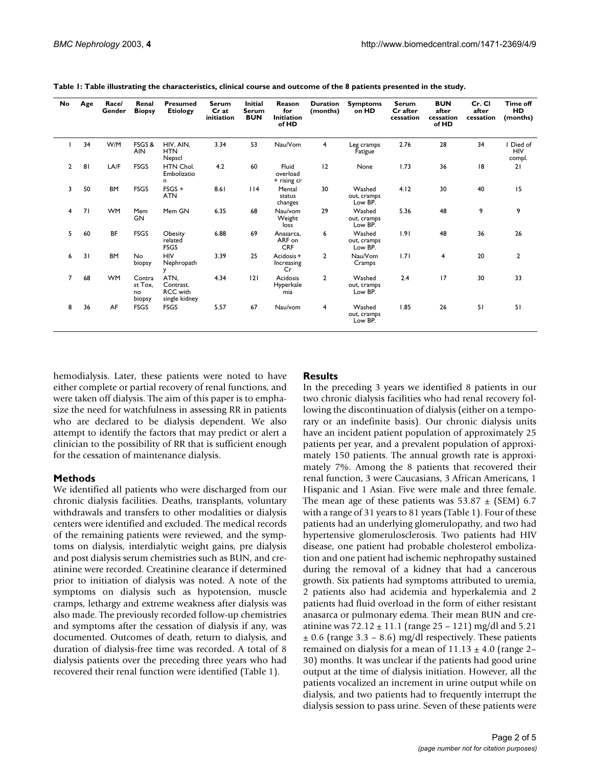| No             | Age | Race/<br>Gender | Renal<br><b>Biopsy</b>            | Presumed<br><b>Etiology</b>                           | Serum<br>Cr at<br>initiation | <b>Initial</b><br>Serum<br><b>BUN</b> | Reason<br>for<br><b>Initiation</b><br>of HD | <b>Duration</b><br>(months) | <b>Symptoms</b><br>on HD         | <b>Serum</b><br>Cr after<br>cessation | <b>BUN</b><br>after<br>cessation<br>of HD | Cr. Cl<br>after<br>cessation | Time off<br><b>HD</b><br>(months) |
|----------------|-----|-----------------|-----------------------------------|-------------------------------------------------------|------------------------------|---------------------------------------|---------------------------------------------|-----------------------------|----------------------------------|---------------------------------------|-------------------------------------------|------------------------------|-----------------------------------|
|                | 34  | W/M             | FSGS&<br><b>AIN</b>               | HIV, AIN,<br><b>HTN</b><br>Nepscl                     | 3.34                         | 53                                    | Nau/Vom                                     | 4                           | Leg cramps<br>Fatigue            | 2.76                                  | 28                                        | 34                           | Died of<br><b>HIV</b><br>compl.   |
| $\overline{2}$ | 81  | LA/F            | <b>FSGS</b>                       | HTN Chol.<br>Embolizatio<br>n                         | 4.2                          | 60                                    | Fluid<br>overload<br>+ rising cr            | 12                          | None                             | 1.73                                  | 36                                        | 18                           | 21                                |
| 3              | 50  | <b>BM</b>       | <b>FSGS</b>                       | $FSGS +$<br><b>ATN</b>                                | 8.61                         | 114                                   | Mental<br>status<br>changes                 | 30                          | Washed<br>out, cramps<br>Low BP. | 4.12                                  | 30                                        | 40                           | 15                                |
| 4              | 71  | <b>WM</b>       | Mem<br><b>GN</b>                  | Mem GN                                                | 6.35                         | 68                                    | Nau/vom<br>Weight<br>loss                   | 29                          | Washed<br>out, cramps<br>Low BP. | 5.36                                  | 48                                        | 9                            | 9                                 |
| 5              | 60  | <b>BF</b>       | <b>FSGS</b>                       | Obesity<br>related<br><b>FSGS</b>                     | 6.88                         | 69                                    | Anasarca,<br>ARF on<br><b>CRF</b>           | 6                           | Washed<br>out, cramps<br>Low BP. | 1.91                                  | 48                                        | 36                           | 26                                |
| 6              | 31  | <b>BM</b>       | No<br>biopsy                      | <b>HIV</b><br>Nephropath                              | 3.39                         | 25                                    | Acidosis +<br>Increasing<br>Cr              | $\overline{2}$              | Nau/Vom<br>Cramps                | 1.71                                  | 4                                         | 20                           | $\overline{2}$                    |
| 7              | 68  | <b>WM</b>       | Contra<br>st Tox.<br>no<br>biopsy | ATN,<br>Contrast.<br><b>RCC</b> with<br>single kidney | 4.34                         | 2                                     | Acidosis<br>Hyperkale<br>mia                | $\overline{2}$              | Washed<br>out, cramps<br>Low BP. | 2.4                                   | 17                                        | 30                           | 33                                |
| 8              | 36  | AF              | <b>FSGS</b>                       | <b>FSGS</b>                                           | 5.57                         | 67                                    | Nau/vom                                     | 4                           | Washed<br>out, cramps<br>Low BP. | 1.85                                  | 26                                        | 51                           | 51                                |

<span id="page-1-0"></span>**Table 1: Table illustrating the characteristics, clinical course and outcome of the 8 patients presented in the study.**

hemodialysis. Later, these patients were noted to have either complete or partial recovery of renal functions, and were taken off dialysis. The aim of this paper is to emphasize the need for watchfulness in assessing RR in patients who are declared to be dialysis dependent. We also attempt to identify the factors that may predict or alert a clinician to the possibility of RR that is sufficient enough for the cessation of maintenance dialysis.

### **Methods**

We identified all patients who were discharged from our chronic dialysis facilities. Deaths, transplants, voluntary withdrawals and transfers to other modalities or dialysis centers were identified and excluded. The medical records of the remaining patients were reviewed, and the symptoms on dialysis, interdialytic weight gains, pre dialysis and post dialysis serum chemistries such as BUN, and creatinine were recorded. Creatinine clearance if determined prior to initiation of dialysis was noted. A note of the symptoms on dialysis such as hypotension, muscle cramps, lethargy and extreme weakness after dialysis was also made. The previously recorded follow-up chemistries and symptoms after the cessation of dialysis if any, was documented. Outcomes of death, return to dialysis, and duration of dialysis-free time was recorded. A total of 8 dialysis patients over the preceding three years who had recovered their renal function were identified (Table [1\)](#page-1-0).

# **Results**

In the preceding 3 years we identified 8 patients in our two chronic dialysis facilities who had renal recovery following the discontinuation of dialysis (either on a temporary or an indefinite basis). Our chronic dialysis units have an incident patient population of approximately 25 patients per year, and a prevalent population of approximately 150 patients. The annual growth rate is approximately 7%. Among the 8 patients that recovered their renal function, 3 were Caucasians, 3 African Americans, 1 Hispanic and 1 Asian. Five were male and three female. The mean age of these patients was  $53.87 \pm (SEM)$  6.7 with a range of 31 years to 81 years (Table [1](#page-1-0)). Four of these patients had an underlying glomerulopathy, and two had hypertensive glomerulosclerosis. Two patients had HIV disease, one patient had probable cholesterol embolization and one patient had ischemic nephropathy sustained during the removal of a kidney that had a cancerous growth. Six patients had symptoms attributed to uremia, 2 patients also had acidemia and hyperkalemia and 2 patients had fluid overload in the form of either resistant anasarca or pulmonary edema. Their mean BUN and creatinine was  $72.12 \pm 11.1$  (range  $25 - 121$ ) mg/dl and  $5.21$  $\pm$  0.6 (range 3.3 – 8.6) mg/dl respectively. These patients remained on dialysis for a mean of  $11.13 \pm 4.0$  (range 2– 30) months. It was unclear if the patients had good urine output at the time of dialysis initiation. However, all the patients vocalized an increment in urine output while on dialysis, and two patients had to frequently interrupt the dialysis session to pass urine. Seven of these patients were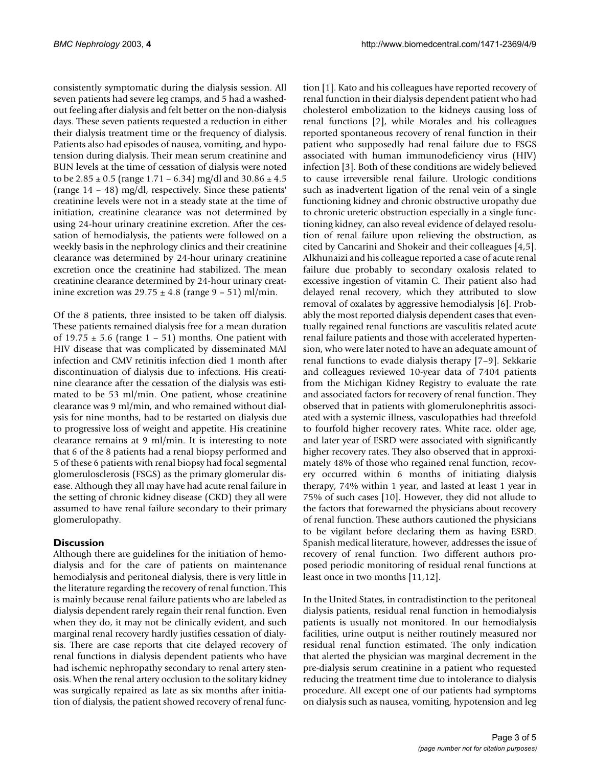consistently symptomatic during the dialysis session. All seven patients had severe leg cramps, and 5 had a washedout feeling after dialysis and felt better on the non-dialysis days. These seven patients requested a reduction in either their dialysis treatment time or the frequency of dialysis. Patients also had episodes of nausea, vomiting, and hypotension during dialysis. Their mean serum creatinine and BUN levels at the time of cessation of dialysis were noted to be  $2.85 \pm 0.5$  (range 1.71 – 6.34) mg/dl and  $30.86 \pm 4.5$ (range 14 – 48) mg/dl, respectively. Since these patients' creatinine levels were not in a steady state at the time of initiation, creatinine clearance was not determined by using 24-hour urinary creatinine excretion. After the cessation of hemodialysis, the patients were followed on a weekly basis in the nephrology clinics and their creatinine clearance was determined by 24-hour urinary creatinine excretion once the creatinine had stabilized. The mean creatinine clearance determined by 24-hour urinary creatinine excretion was  $29.75 \pm 4.8$  (range  $9 - 51$ ) ml/min.

Of the 8 patients, three insisted to be taken off dialysis. These patients remained dialysis free for a mean duration of  $19.75 \pm 5.6$  (range  $1 - 51$ ) months. One patient with HIV disease that was complicated by disseminated MAI infection and CMV retinitis infection died 1 month after discontinuation of dialysis due to infections. His creatinine clearance after the cessation of the dialysis was estimated to be 53 ml/min. One patient, whose creatinine clearance was 9 ml/min, and who remained without dialysis for nine months, had to be restarted on dialysis due to progressive loss of weight and appetite. His creatinine clearance remains at 9 ml/min. It is interesting to note that 6 of the 8 patients had a renal biopsy performed and 5 of these 6 patients with renal biopsy had focal segmental glomerulosclerosis (FSGS) as the primary glomerular disease. Although they all may have had acute renal failure in the setting of chronic kidney disease (CKD) they all were assumed to have renal failure secondary to their primary glomerulopathy.

# **Discussion**

Although there are guidelines for the initiation of hemodialysis and for the care of patients on maintenance hemodialysis and peritoneal dialysis, there is very little in the literature regarding the recovery of renal function. This is mainly because renal failure patients who are labeled as dialysis dependent rarely regain their renal function. Even when they do, it may not be clinically evident, and such marginal renal recovery hardly justifies cessation of dialysis. There are case reports that cite delayed recovery of renal functions in dialysis dependent patients who have had ischemic nephropathy secondary to renal artery stenosis. When the renal artery occlusion to the solitary kidney was surgically repaired as late as six months after initiation of dialysis, the patient showed recovery of renal function [1]. Kato and his colleagues have reported recovery of renal function in their dialysis dependent patient who had cholesterol embolization to the kidneys causing loss of renal functions [2], while Morales and his colleagues reported spontaneous recovery of renal function in their patient who supposedly had renal failure due to FSGS associated with human immunodeficiency virus (HIV) infection [3]. Both of these conditions are widely believed to cause irreversible renal failure. Urologic conditions such as inadvertent ligation of the renal vein of a single functioning kidney and chronic obstructive uropathy due to chronic ureteric obstruction especially in a single functioning kidney, can also reveal evidence of delayed resolution of renal failure upon relieving the obstruction, as cited by Cancarini and Shokeir and their colleagues [4,5]. Alkhunaizi and his colleague reported a case of acute renal failure due probably to secondary oxalosis related to excessive ingestion of vitamin C. Their patient also had delayed renal recovery, which they attributed to slow removal of oxalates by aggressive hemodialysis [6]. Probably the most reported dialysis dependent cases that eventually regained renal functions are vasculitis related acute renal failure patients and those with accelerated hypertension, who were later noted to have an adequate amount of renal functions to evade dialysis therapy [7–9]. Sekkarie and colleagues reviewed 10-year data of 7404 patients from the Michigan Kidney Registry to evaluate the rate and associated factors for recovery of renal function. They observed that in patients with glomerulonephritis associated with a systemic illness, vasculopathies had threefold to fourfold higher recovery rates. White race, older age, and later year of ESRD were associated with significantly higher recovery rates. They also observed that in approximately 48% of those who regained renal function, recovery occurred within 6 months of initiating dialysis therapy, 74% within 1 year, and lasted at least 1 year in 75% of such cases [10]. However, they did not allude to the factors that forewarned the physicians about recovery of renal function. These authors cautioned the physicians to be vigilant before declaring them as having ESRD. Spanish medical literature, however, addresses the issue of recovery of renal function. Two different authors proposed periodic monitoring of residual renal functions at least once in two months [11,12].

In the United States, in contradistinction to the peritoneal dialysis patients, residual renal function in hemodialysis patients is usually not monitored. In our hemodialysis facilities, urine output is neither routinely measured nor residual renal function estimated. The only indication that alerted the physician was marginal decrement in the pre-dialysis serum creatinine in a patient who requested reducing the treatment time due to intolerance to dialysis procedure. All except one of our patients had symptoms on dialysis such as nausea, vomiting, hypotension and leg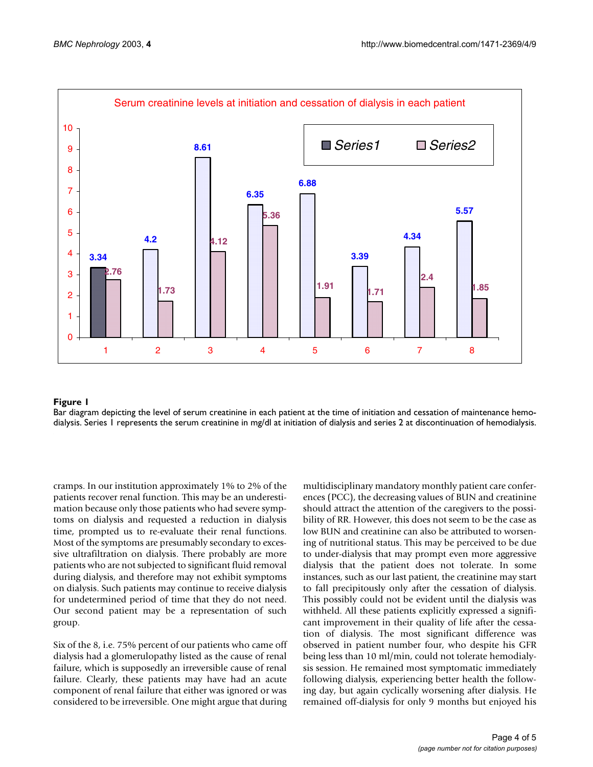

# Bar diagram depicting the level of hemodialysis **Figure 1** serum creatinine in each patient at the time of initiation and cessation of maintenance

Bar diagram depicting the level of serum creatinine in each patient at the time of initiation and cessation of maintenance hemodialysis. Series 1 represents the serum creatinine in mg/dl at initiation of dialysis and series 2 at discontinuation of hemodialysis.

cramps. In our institution approximately 1% to 2% of the patients recover renal function. This may be an underestimation because only those patients who had severe symptoms on dialysis and requested a reduction in dialysis time, prompted us to re-evaluate their renal functions. Most of the symptoms are presumably secondary to excessive ultrafiltration on dialysis. There probably are more patients who are not subjected to significant fluid removal during dialysis, and therefore may not exhibit symptoms on dialysis. Such patients may continue to receive dialysis for undetermined period of time that they do not need. Our second patient may be a representation of such group.

Six of the 8, i.e. 75% percent of our patients who came off dialysis had a glomerulopathy listed as the cause of renal failure, which is supposedly an irreversible cause of renal failure. Clearly, these patients may have had an acute component of renal failure that either was ignored or was considered to be irreversible. One might argue that during multidisciplinary mandatory monthly patient care conferences (PCC), the decreasing values of BUN and creatinine should attract the attention of the caregivers to the possibility of RR. However, this does not seem to be the case as low BUN and creatinine can also be attributed to worsening of nutritional status. This may be perceived to be due to under-dialysis that may prompt even more aggressive dialysis that the patient does not tolerate. In some instances, such as our last patient, the creatinine may start to fall precipitously only after the cessation of dialysis. This possibly could not be evident until the dialysis was withheld. All these patients explicitly expressed a significant improvement in their quality of life after the cessation of dialysis. The most significant difference was observed in patient number four, who despite his GFR being less than 10 ml/min, could not tolerate hemodialysis session. He remained most symptomatic immediately following dialysis, experiencing better health the following day, but again cyclically worsening after dialysis. He remained off-dialysis for only 9 months but enjoyed his